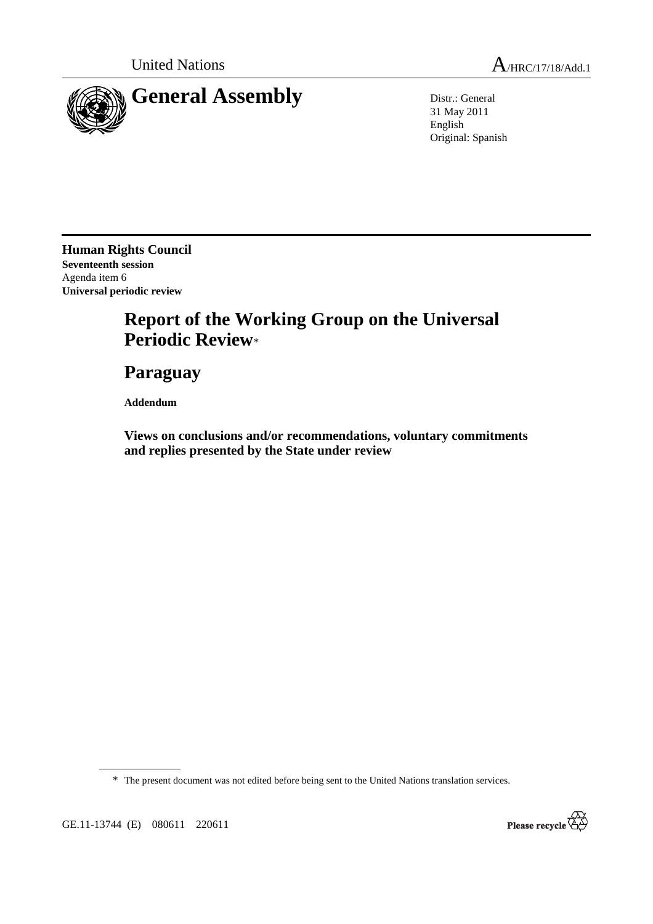

31 May 2011 English Original: Spanish

**Human Rights Council Seventeenth session**  Agenda item 6 **Universal periodic review** 

# **Report of the Working Group on the Universal Periodic Review**\*

# **Paraguay**

 **Addendum** 

 **Views on conclusions and/or recommendations, voluntary commitments and replies presented by the State under review** 

\* The present document was not edited before being sent to the United Nations translation services.

GE.11-13744 (E) 080611 220611

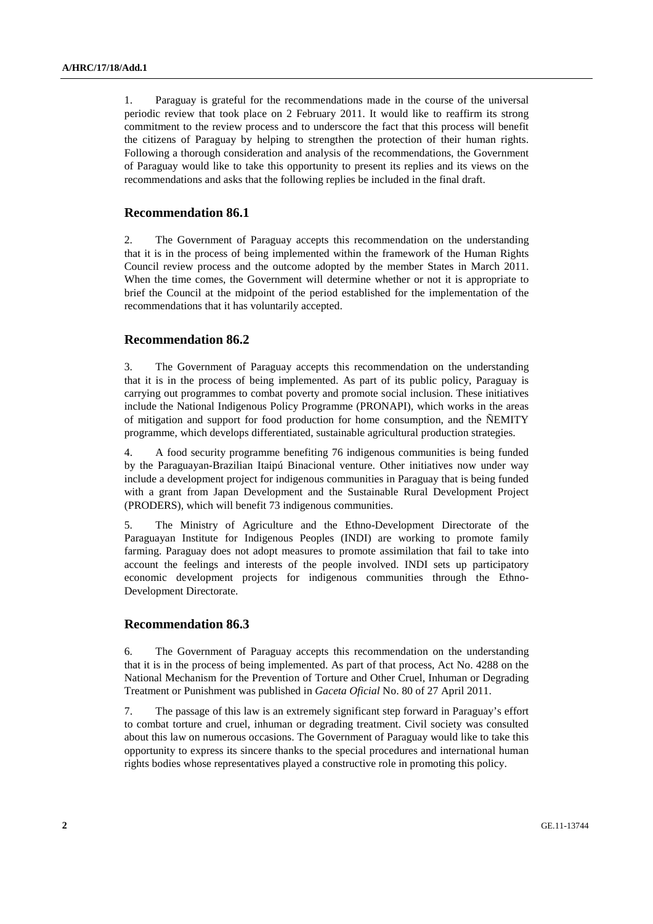1. Paraguay is grateful for the recommendations made in the course of the universal periodic review that took place on 2 February 2011. It would like to reaffirm its strong commitment to the review process and to underscore the fact that this process will benefit the citizens of Paraguay by helping to strengthen the protection of their human rights. Following a thorough consideration and analysis of the recommendations, the Government of Paraguay would like to take this opportunity to present its replies and its views on the recommendations and asks that the following replies be included in the final draft.

## **Recommendation 86.1**

2. The Government of Paraguay accepts this recommendation on the understanding that it is in the process of being implemented within the framework of the Human Rights Council review process and the outcome adopted by the member States in March 2011. When the time comes, the Government will determine whether or not it is appropriate to brief the Council at the midpoint of the period established for the implementation of the recommendations that it has voluntarily accepted.

## **Recommendation 86.2**

3. The Government of Paraguay accepts this recommendation on the understanding that it is in the process of being implemented. As part of its public policy, Paraguay is carrying out programmes to combat poverty and promote social inclusion. These initiatives include the National Indigenous Policy Programme (PRONAPI), which works in the areas of mitigation and support for food production for home consumption, and the ÑEMITY programme, which develops differentiated, sustainable agricultural production strategies.

4. A food security programme benefiting 76 indigenous communities is being funded by the Paraguayan-Brazilian Itaipú Binacional venture. Other initiatives now under way include a development project for indigenous communities in Paraguay that is being funded with a grant from Japan Development and the Sustainable Rural Development Project (PRODERS), which will benefit 73 indigenous communities.

5. The Ministry of Agriculture and the Ethno-Development Directorate of the Paraguayan Institute for Indigenous Peoples (INDI) are working to promote family farming. Paraguay does not adopt measures to promote assimilation that fail to take into account the feelings and interests of the people involved. INDI sets up participatory economic development projects for indigenous communities through the Ethno-Development Directorate.

### **Recommendation 86.3**

6. The Government of Paraguay accepts this recommendation on the understanding that it is in the process of being implemented. As part of that process, Act No. 4288 on the National Mechanism for the Prevention of Torture and Other Cruel, Inhuman or Degrading Treatment or Punishment was published in *Gaceta Oficial* No. 80 of 27 April 2011.

7. The passage of this law is an extremely significant step forward in Paraguay's effort to combat torture and cruel, inhuman or degrading treatment. Civil society was consulted about this law on numerous occasions. The Government of Paraguay would like to take this opportunity to express its sincere thanks to the special procedures and international human rights bodies whose representatives played a constructive role in promoting this policy.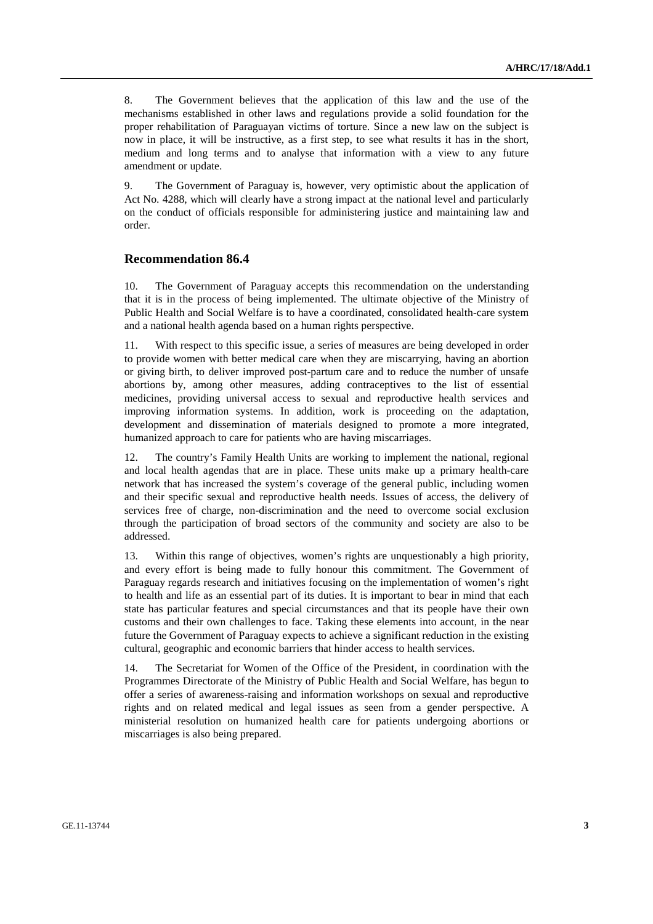8. The Government believes that the application of this law and the use of the mechanisms established in other laws and regulations provide a solid foundation for the proper rehabilitation of Paraguayan victims of torture. Since a new law on the subject is now in place, it will be instructive, as a first step, to see what results it has in the short, medium and long terms and to analyse that information with a view to any future amendment or update.

9. The Government of Paraguay is, however, very optimistic about the application of Act No. 4288, which will clearly have a strong impact at the national level and particularly on the conduct of officials responsible for administering justice and maintaining law and order.

### **Recommendation 86.4**

10. The Government of Paraguay accepts this recommendation on the understanding that it is in the process of being implemented. The ultimate objective of the Ministry of Public Health and Social Welfare is to have a coordinated, consolidated health-care system and a national health agenda based on a human rights perspective.

11. With respect to this specific issue, a series of measures are being developed in order to provide women with better medical care when they are miscarrying, having an abortion or giving birth, to deliver improved post-partum care and to reduce the number of unsafe abortions by, among other measures, adding contraceptives to the list of essential medicines, providing universal access to sexual and reproductive health services and improving information systems. In addition, work is proceeding on the adaptation, development and dissemination of materials designed to promote a more integrated, humanized approach to care for patients who are having miscarriages.

12. The country's Family Health Units are working to implement the national, regional and local health agendas that are in place. These units make up a primary health-care network that has increased the system's coverage of the general public, including women and their specific sexual and reproductive health needs. Issues of access, the delivery of services free of charge, non-discrimination and the need to overcome social exclusion through the participation of broad sectors of the community and society are also to be addressed.

13. Within this range of objectives, women's rights are unquestionably a high priority, and every effort is being made to fully honour this commitment. The Government of Paraguay regards research and initiatives focusing on the implementation of women's right to health and life as an essential part of its duties. It is important to bear in mind that each state has particular features and special circumstances and that its people have their own customs and their own challenges to face. Taking these elements into account, in the near future the Government of Paraguay expects to achieve a significant reduction in the existing cultural, geographic and economic barriers that hinder access to health services.

14. The Secretariat for Women of the Office of the President, in coordination with the Programmes Directorate of the Ministry of Public Health and Social Welfare, has begun to offer a series of awareness-raising and information workshops on sexual and reproductive rights and on related medical and legal issues as seen from a gender perspective. A ministerial resolution on humanized health care for patients undergoing abortions or miscarriages is also being prepared.